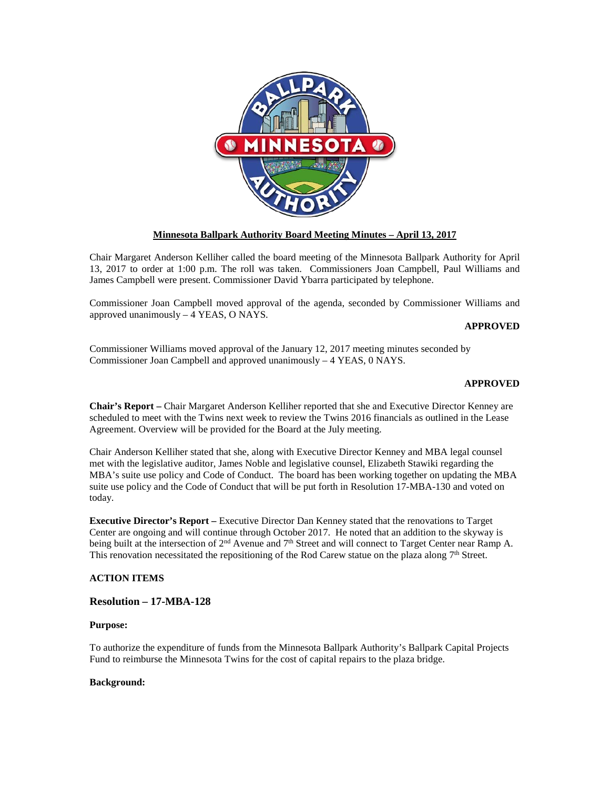

# **Minnesota Ballpark Authority Board Meeting Minutes – April 13, 2017**

Chair Margaret Anderson Kelliher called the board meeting of the Minnesota Ballpark Authority for April 13, 2017 to order at 1:00 p.m. The roll was taken. Commissioners Joan Campbell, Paul Williams and James Campbell were present. Commissioner David Ybarra participated by telephone.

Commissioner Joan Campbell moved approval of the agenda, seconded by Commissioner Williams and approved unanimously – 4 YEAS, O NAYS.

#### **APPROVED**

Commissioner Williams moved approval of the January 12, 2017 meeting minutes seconded by Commissioner Joan Campbell and approved unanimously – 4 YEAS, 0 NAYS.

#### **APPROVED**

**Chair's Report –** Chair Margaret Anderson Kelliher reported that she and Executive Director Kenney are scheduled to meet with the Twins next week to review the Twins 2016 financials as outlined in the Lease Agreement. Overview will be provided for the Board at the July meeting.

Chair Anderson Kelliher stated that she, along with Executive Director Kenney and MBA legal counsel met with the legislative auditor, James Noble and legislative counsel, Elizabeth Stawiki regarding the MBA's suite use policy and Code of Conduct. The board has been working together on updating the MBA suite use policy and the Code of Conduct that will be put forth in Resolution 17-MBA-130 and voted on today.

**Executive Director's Report –** Executive Director Dan Kenney stated that the renovations to Target Center are ongoing and will continue through October 2017. He noted that an addition to the skyway is being built at the intersection of 2<sup>nd</sup> Avenue and 7<sup>th</sup> Street and will connect to Target Center near Ramp A. This renovation necessitated the repositioning of the Rod Carew statue on the plaza along  $7<sup>th</sup>$  Street.

#### **ACTION ITEMS**

### **Resolution – 17-MBA-128**

#### **Purpose:**

To authorize the expenditure of funds from the Minnesota Ballpark Authority's Ballpark Capital Projects Fund to reimburse the Minnesota Twins for the cost of capital repairs to the plaza bridge.

#### **Background:**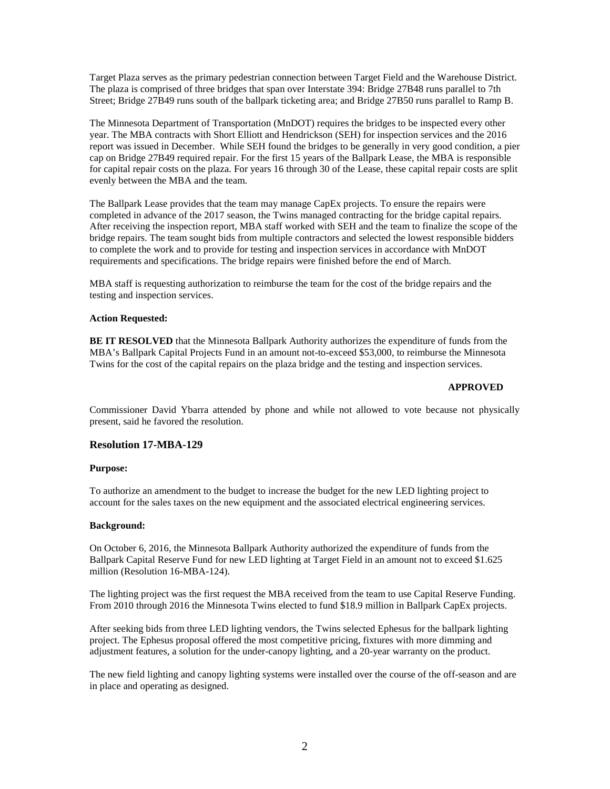Target Plaza serves as the primary pedestrian connection between Target Field and the Warehouse District. The plaza is comprised of three bridges that span over Interstate 394: Bridge 27B48 runs parallel to 7th Street; Bridge 27B49 runs south of the ballpark ticketing area; and Bridge 27B50 runs parallel to Ramp B.

The Minnesota Department of Transportation (MnDOT) requires the bridges to be inspected every other year. The MBA contracts with Short Elliott and Hendrickson (SEH) for inspection services and the 2016 report was issued in December. While SEH found the bridges to be generally in very good condition, a pier cap on Bridge 27B49 required repair. For the first 15 years of the Ballpark Lease, the MBA is responsible for capital repair costs on the plaza. For years 16 through 30 of the Lease, these capital repair costs are split evenly between the MBA and the team.

The Ballpark Lease provides that the team may manage CapEx projects. To ensure the repairs were completed in advance of the 2017 season, the Twins managed contracting for the bridge capital repairs. After receiving the inspection report, MBA staff worked with SEH and the team to finalize the scope of the bridge repairs. The team sought bids from multiple contractors and selected the lowest responsible bidders to complete the work and to provide for testing and inspection services in accordance with MnDOT requirements and specifications. The bridge repairs were finished before the end of March.

MBA staff is requesting authorization to reimburse the team for the cost of the bridge repairs and the testing and inspection services.

## **Action Requested:**

**BE IT RESOLVED** that the Minnesota Ballpark Authority authorizes the expenditure of funds from the MBA's Ballpark Capital Projects Fund in an amount not-to-exceed \$53,000, to reimburse the Minnesota Twins for the cost of the capital repairs on the plaza bridge and the testing and inspection services.

#### **APPROVED**

Commissioner David Ybarra attended by phone and while not allowed to vote because not physically present, said he favored the resolution.

#### **Resolution 17-MBA-129**

#### **Purpose:**

To authorize an amendment to the budget to increase the budget for the new LED lighting project to account for the sales taxes on the new equipment and the associated electrical engineering services.

### **Background:**

On October 6, 2016, the Minnesota Ballpark Authority authorized the expenditure of funds from the Ballpark Capital Reserve Fund for new LED lighting at Target Field in an amount not to exceed \$1.625 million (Resolution 16-MBA-124).

The lighting project was the first request the MBA received from the team to use Capital Reserve Funding. From 2010 through 2016 the Minnesota Twins elected to fund \$18.9 million in Ballpark CapEx projects.

After seeking bids from three LED lighting vendors, the Twins selected Ephesus for the ballpark lighting project. The Ephesus proposal offered the most competitive pricing, fixtures with more dimming and adjustment features, a solution for the under-canopy lighting, and a 20-year warranty on the product.

The new field lighting and canopy lighting systems were installed over the course of the off-season and are in place and operating as designed.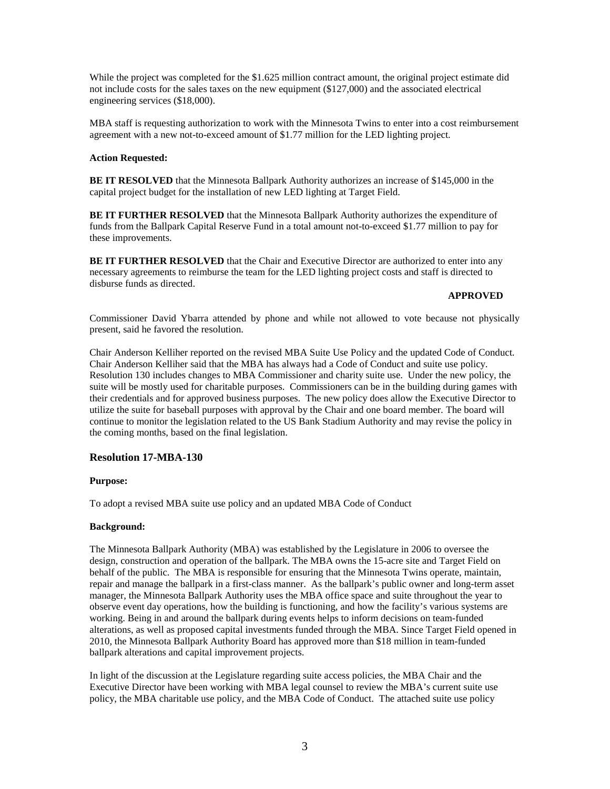While the project was completed for the \$1.625 million contract amount, the original project estimate did not include costs for the sales taxes on the new equipment (\$127,000) and the associated electrical engineering services (\$18,000).

MBA staff is requesting authorization to work with the Minnesota Twins to enter into a cost reimbursement agreement with a new not-to-exceed amount of \$1.77 million for the LED lighting project.

## **Action Requested:**

**BE IT RESOLVED** that the Minnesota Ballpark Authority authorizes an increase of \$145,000 in the capital project budget for the installation of new LED lighting at Target Field.

**BE IT FURTHER RESOLVED** that the Minnesota Ballpark Authority authorizes the expenditure of funds from the Ballpark Capital Reserve Fund in a total amount not-to-exceed \$1.77 million to pay for these improvements.

**BE IT FURTHER RESOLVED** that the Chair and Executive Director are authorized to enter into any necessary agreements to reimburse the team for the LED lighting project costs and staff is directed to disburse funds as directed.

#### **APPROVED**

Commissioner David Ybarra attended by phone and while not allowed to vote because not physically present, said he favored the resolution.

Chair Anderson Kelliher reported on the revised MBA Suite Use Policy and the updated Code of Conduct. Chair Anderson Kelliher said that the MBA has always had a Code of Conduct and suite use policy. Resolution 130 includes changes to MBA Commissioner and charity suite use. Under the new policy, the suite will be mostly used for charitable purposes. Commissioners can be in the building during games with their credentials and for approved business purposes. The new policy does allow the Executive Director to utilize the suite for baseball purposes with approval by the Chair and one board member. The board will continue to monitor the legislation related to the US Bank Stadium Authority and may revise the policy in the coming months, based on the final legislation.

# **Resolution 17-MBA-130**

#### **Purpose:**

To adopt a revised MBA suite use policy and an updated MBA Code of Conduct

#### **Background:**

The Minnesota Ballpark Authority (MBA) was established by the Legislature in 2006 to oversee the design, construction and operation of the ballpark. The MBA owns the 15-acre site and Target Field on behalf of the public. The MBA is responsible for ensuring that the Minnesota Twins operate, maintain, repair and manage the ballpark in a first-class manner. As the ballpark's public owner and long-term asset manager, the Minnesota Ballpark Authority uses the MBA office space and suite throughout the year to observe event day operations, how the building is functioning, and how the facility's various systems are working. Being in and around the ballpark during events helps to inform decisions on team-funded alterations, as well as proposed capital investments funded through the MBA. Since Target Field opened in 2010, the Minnesota Ballpark Authority Board has approved more than \$18 million in team-funded ballpark alterations and capital improvement projects.

In light of the discussion at the Legislature regarding suite access policies, the MBA Chair and the Executive Director have been working with MBA legal counsel to review the MBA's current suite use policy, the MBA charitable use policy, and the MBA Code of Conduct. The attached suite use policy